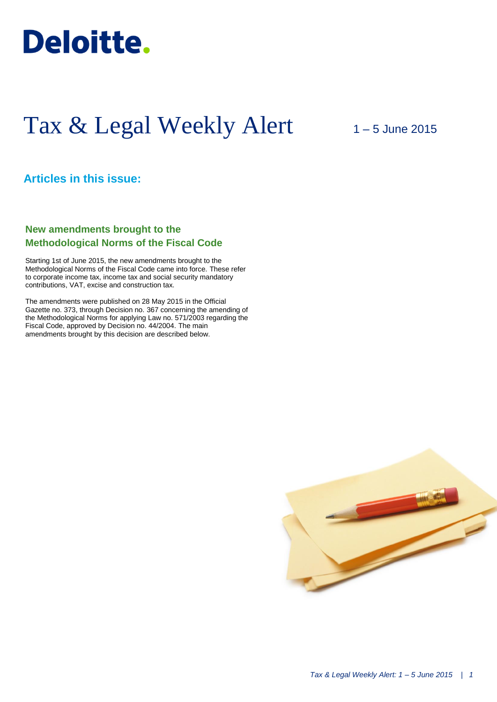

# Tax & Legal Weekly Alert

# 1 – 5 June 2015

# **Articles in this issue:**

# **New amendments brought to the Methodological Norms of the Fiscal Code**

Starting 1st of June 2015, the new amendments brought to the Methodological Norms of the Fiscal Code came into force. These refer to corporate income tax, income tax and social security mandatory contributions, VAT, excise and construction tax.

The amendments were published on 28 May 2015 in the Official Gazette no. 373, through Decision no. 367 concerning the amending of the Methodological Norms for applying Law no. 571/2003 regarding the Fiscal Code, approved by Decision no. 44/2004. The main amendments brought by this decision are described below.

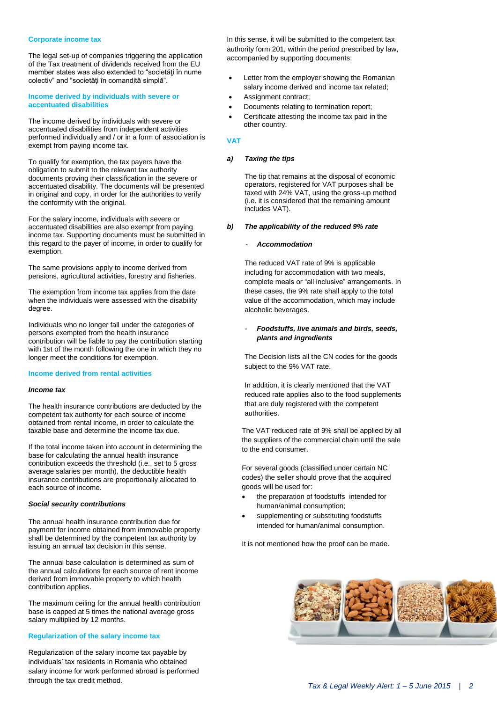#### **Corporate income tax**

The legal set-up of companies triggering the application of the Tax treatment of dividends received from the EU member states was also extended to "societăţi în nume colectiv" and "societăţi în comandită simplă".

## **Income derived by individuals with severe or accentuated disabilities**

The income derived by individuals with severe or accentuated disabilities from independent activities performed individually and / or in a form of association is exempt from paying income tax.

To qualify for exemption, the tax payers have the obligation to submit to the relevant tax authority documents proving their classification in the severe or accentuated disability. The documents will be presented in original and copy, in order for the authorities to verify the conformity with the original.

For the salary income, individuals with severe or accentuated disabilities are also exempt from paying income tax. Supporting documents must be submitted in this regard to the payer of income, in order to qualify for exemption.

The same provisions apply to income derived from pensions, agricultural activities, forestry and fisheries.

The exemption from income tax applies from the date when the individuals were assessed with the disability degree.

Individuals who no longer fall under the categories of persons exempted from the health insurance contribution will be liable to pay the contribution starting with 1st of the month following the one in which they no longer meet the conditions for exemption.

#### **Income derived from rental activities**

#### *Income tax*

The health insurance contributions are deducted by the competent tax authority for each source of income obtained from rental income, in order to calculate the taxable base and determine the income tax due.

If the total income taken into account in determining the base for calculating the annual health insurance contribution exceeds the threshold (i.e., set to 5 gross average salaries per month), the deductible health insurance contributions are proportionally allocated to each source of income.

#### *Social security contributions*

The annual health insurance contribution due for payment for income obtained from immovable property shall be determined by the competent tax authority by issuing an annual tax decision in this sense.

The annual base calculation is determined as sum of the annual calculations for each source of rent income derived from immovable property to which health contribution applies.

The maximum ceiling for the annual health contribution base is capped at 5 times the national average gross salary multiplied by 12 months.

#### **Regularization of the salary income tax**

Regularization of the salary income tax payable by individuals' tax residents in Romania who obtained salary income for work performed abroad is performed through the tax credit method.

In this sense, it will be submitted to the competent tax authority form 201, within the period prescribed by law, accompanied by supporting documents:

- Letter from the employer showing the Romanian salary income derived and income tax related;
- Assignment contract;
- Documents relating to termination report;
- Certificate attesting the income tax paid in the other country.

## **VAT**

# *a) Taxing the tips*

The tip that remains at the disposal of economic operators, registered for VAT purposes shall be taxed with 24% VAT, using the gross-up method (i.e. it is considered that the remaining amount includes VAT).

## *b) The applicability of the reduced 9% rate*

#### - *Accommodation*

The reduced VAT rate of 9% is applicable including for accommodation with two meals, complete meals or "all inclusive" arrangements. In these cases, the 9% rate shall apply to the total value of the accommodation, which may include alcoholic beverages.

# - *Foodstuffs, live animals and birds, seeds, plants and ingredients*

The Decision lists all the CN codes for the goods subject to the 9% VAT rate.

In addition, it is clearly mentioned that the VAT reduced rate applies also to the food supplements that are duly registered with the competent authorities.

The VAT reduced rate of 9% shall be applied by all the suppliers of the commercial chain until the sale to the end consumer.

For several goods (classified under certain NC codes) the seller should prove that the acquired goods will be used for:

- the preparation of foodstuffs intended for human/animal consumption;
- supplementing or substituting foodstuffs intended for human/animal consumption.

It is not mentioned how the proof can be made.

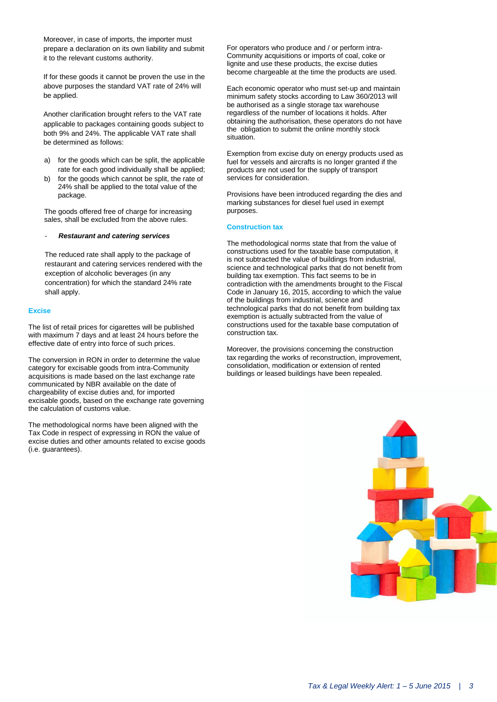Moreover, in case of imports, the importer must prepare a declaration on its own liability and submit it to the relevant customs authority.

If for these goods it cannot be proven the use in the above purposes the standard VAT rate of 24% will be applied.

Another clarification brought refers to the VAT rate applicable to packages containing goods subject to both 9% and 24%. The applicable VAT rate shall be determined as follows:

- a) for the goods which can be split, the applicable rate for each good individually shall be applied;
- b) for the goods which cannot be split, the rate of 24% shall be applied to the total value of the package.

The goods offered free of charge for increasing sales, shall be excluded from the above rules.

## - *Restaurant and catering services*

The reduced rate shall apply to the package of restaurant and catering services rendered with the exception of alcoholic beverages (in any concentration) for which the standard 24% rate shall apply.

#### **Excise**

The list of retail prices for cigarettes will be published with maximum 7 days and at least 24 hours before the effective date of entry into force of such prices.

The conversion in RON in order to determine the value category for excisable goods from intra-Community acquisitions is made based on the last exchange rate communicated by NBR available on the date of chargeability of excise duties and, for imported excisable goods, based on the exchange rate governing the calculation of customs value.

The methodological norms have been aligned with the Tax Code in respect of expressing in RON the value of excise duties and other amounts related to excise goods (i.e. guarantees).

For operators who produce and / or perform intra-Community acquisitions or imports of coal, coke or lignite and use these products, the excise duties become chargeable at the time the products are used.

Each economic operator who must set-up and maintain minimum safety stocks according to Law 360/2013 will be authorised as a single storage tax warehouse regardless of the number of locations it holds. After obtaining the authorisation, these operators do not have the obligation to submit the online monthly stock situation.

Exemption from excise duty on energy products used as fuel for vessels and aircrafts is no longer granted if the products are not used for the supply of transport services for consideration.

Provisions have been introduced regarding the dies and marking substances for diesel fuel used in exempt purposes.

#### **Construction tax**

The methodological norms state that from the value of constructions used for the taxable base computation, it is not subtracted the value of buildings from industrial, science and technological parks that do not benefit from building tax exemption. This fact seems to be in contradiction with the amendments brought to the Fiscal Code in January 16, 2015, according to which the value of the buildings from industrial, science and technological parks that do not benefit from building tax exemption is actually subtracted from the value of constructions used for the taxable base computation of construction tax.

Moreover, the provisions concerning the construction tax regarding the works of reconstruction, improvement, consolidation, modification or extension of rented buildings or leased buildings have been repealed.